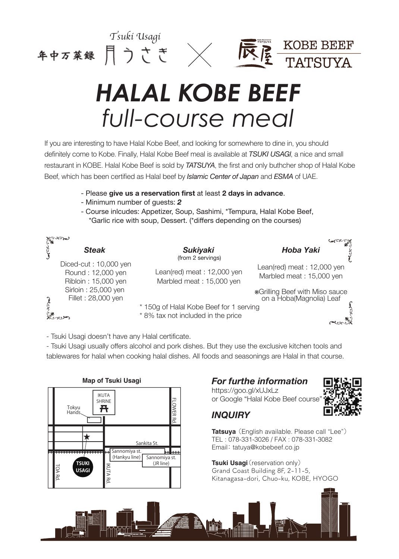





## *HALAL KOBE BEEF full-course meal*

If you are interesting to have Halal Kobe Beef, and looking for somewhere to dine in, you should definitely come to Kobe. Finally, Halal Kobe Beef meal is available at *TSUKI USAGI*, a nice and small restaurant in KOBE. Halal Kobe Beef is sold by *TATSUYA*, the first and only buthcher shop of Halal Kobe Beef, which has been certified as Halal beef by *Islamic Center of Japan* and *ESMA* of UAE.

- Please **give us a reservation first** at least **2 days in advance**.
- Minimum number of guests: *2*
- Course inlcudes: Appetizer, Soup, Sashimi, \*Tempura, Halal Kobe Beef, \*Garlic rice with soup, Dessert. (\*differs depending on the courses)

| محمد من المجلي<br>محمد من المجل |                                                                   |                                                                               |                                                                   |
|---------------------------------|-------------------------------------------------------------------|-------------------------------------------------------------------------------|-------------------------------------------------------------------|
| رى<br>كاران                     | <b>Steak</b>                                                      | <b>Sukiyaki</b><br>(from 2 servings)                                          | <b>Hoba Yaki</b>                                                  |
|                                 | Diced-cut: 10,000 yen<br>Round: 12,000 yen<br>Ribloin: 15,000 yen | Lean(red) meat: 12,000 yen<br>Marbled meat: 15,000 yen                        | Lean(red) meat: 12,000 yen<br>Marbled meat: 15,000 yen            |
|                                 | Sirloin: 25,000 yen<br>Fillet: 28,000 yen                         |                                                                               | <b>*Grilling Beef with Miso sauce</b><br>on a Hoba(Magnolia) Leaf |
|                                 |                                                                   | * 150g of Halal Kobe Beef for 1 serving<br>* 8% tax not included in the price | يهوم                                                              |

- Tsuki Usagi doesn't have any Halal certificate.

- Tsuki Usagi usually offers alcohol and pork dishes. But they use the exclusive kitchen tools and tablewares for halal when cooking halal dishes. All foods and seasonings are Halal in that course.



## *For furthe information*

https://goo.gl/xUJxLz or Google "Halal Kobe Beef course"





**Tatsuya** (English available. Please call "Lee") TEL : 078-331-3026 / FAX : 078-331-3082 Email: tatuya@kobebeef.co.jp

**Tsuki Usagi** (reservation only) Grand Coast Building 8F, 2-11-5, Kitanagasa-dori, Chuo-ku, KOBE, HYOGO